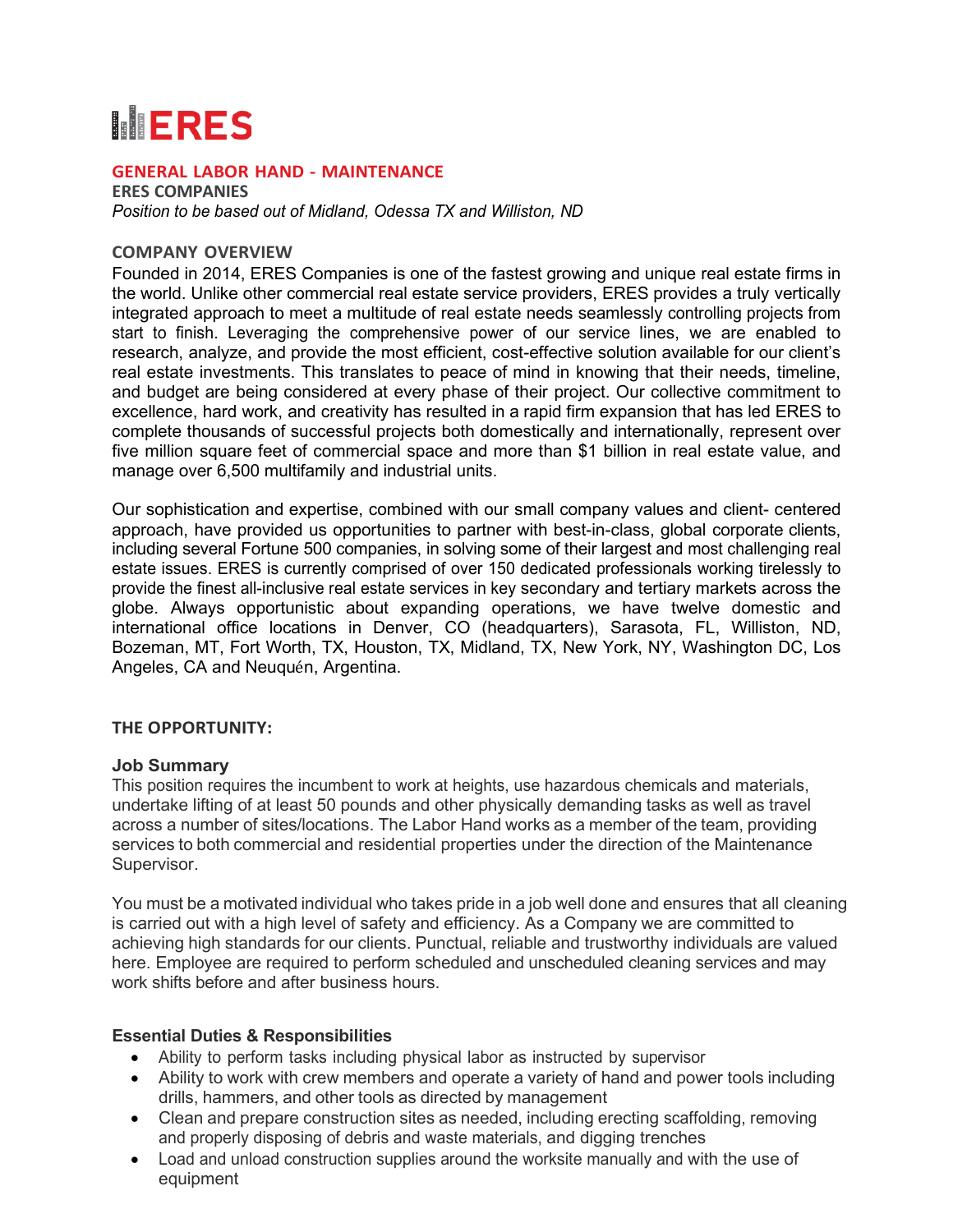# **INERES**

#### **GENERAL LABOR HAND - MAINTENANCE**

**ERES COMPANIES** *Position to be based out of Midland, Odessa TX and Williston, ND*

#### **COMPANY OVERVIEW**

Founded in 2014, ERES Companies is one of the fastest growing and unique real estate firms in the world. Unlike other commercial real estate service providers, ERES provides a truly vertically integrated approach to meet a multitude of real estate needs seamlessly controlling projects from start to finish. Leveraging the comprehensive power of our service lines, we are enabled to research, analyze, and provide the most efficient, cost-effective solution available for our client's real estate investments. This translates to peace of mind in knowing that their needs, timeline, and budget are being considered at every phase of their project. Our collective commitment to excellence, hard work, and creativity has resulted in a rapid firm expansion that has led ERES to complete thousands of successful projects both domestically and internationally, represent over five million square feet of commercial space and more than \$1 billion in real estate value, and manage over 6,500 multifamily and industrial units.

Our sophistication and expertise, combined with our small company values and client- centered approach, have provided us opportunities to partner with best-in-class, global corporate clients, including several Fortune 500 companies, in solving some of their largest and most challenging real estate issues. ERES is currently comprised of over 150 dedicated professionals working tirelessly to provide the finest all-inclusive real estate services in key secondary and tertiary markets across the globe. Always opportunistic about expanding operations, we have twelve domestic and international office locations in Denver, CO (headquarters), Sarasota, FL, Williston, ND, Bozeman, MT, Fort Worth, TX, Houston, TX, Midland, TX, New York, NY, Washington DC, Los Angeles, CA and Neuquén, Argentina.

#### **THE OPPORTUNITY:**

#### **Job Summary**

This position requires the incumbent to work at heights, use hazardous chemicals and materials, undertake lifting of at least 50 pounds and other physically demanding tasks as well as travel across a number of sites/locations. The Labor Hand works as a member of the team, providing services to both commercial and residential properties under the direction of the Maintenance Supervisor.

You must be a motivated individual who takes pride in a job well done and ensures that all cleaning is carried out with a high level of safety and efficiency. As a Company we are committed to achieving high standards for our clients. Punctual, reliable and trustworthy individuals are valued here. Employee are required to perform scheduled and unscheduled cleaning services and may work shifts before and after business hours.

## **Essential Duties & Responsibilities**

- Ability to perform tasks including physical labor as instructed by supervisor
- Ability to work with crew members and operate a variety of hand and power tools including drills, hammers, and other tools as directed by management
- Clean and prepare construction sites as needed, including erecting scaffolding, removing and properly disposing of debris and waste materials, and digging trenches
- Load and unload construction supplies around the worksite manually and with the use of equipment